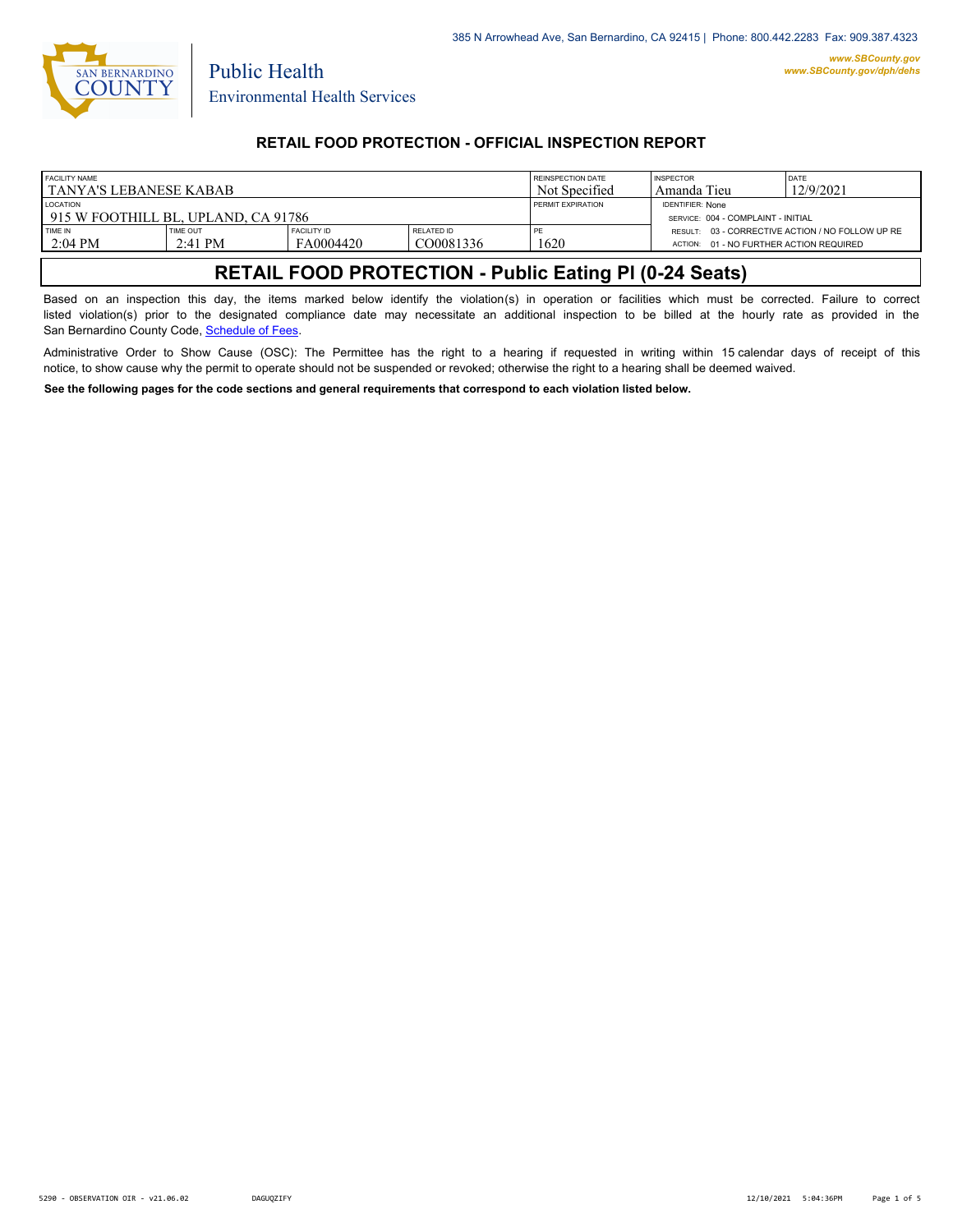

Public Health

## **RETAIL FOOD PROTECTION - OFFICIAL INSPECTION REPORT**

| <b>FACILITY NAME</b><br>I TANYA'S LEBANESE KABAB       |                       |                                 |                                | REINSPECTION DATE<br>Not Specified                            | <b>INSPECTOR</b><br>Amanda Tieu         | DATE<br>12/9/2021                                |
|--------------------------------------------------------|-----------------------|---------------------------------|--------------------------------|---------------------------------------------------------------|-----------------------------------------|--------------------------------------------------|
| <b>LOCATION</b><br>915 W FOOTHILL BL. UPLAND. CA 91786 |                       |                                 | <b>PERMIT EXPIRATION</b>       | <b>IDENTIFIER: None</b><br>SERVICE: 004 - COMPLAINT - INITIAL |                                         |                                                  |
| TIME IN<br>$2:04$ PM                                   | TIME OUT<br>$2:41$ PM | <b>FACILITY ID</b><br>FA0004420 | <b>RELATED ID</b><br>CO0081336 | PE<br>1620                                                    | ACTION: 01 - NO FURTHER ACTION REQUIRED | RESULT: 03 - CORRECTIVE ACTION / NO FOLLOW UP RE |

# **RETAIL FOOD PROTECTION - Public Eating Pl (0-24 Seats)**

Based on an inspection this day, the items marked below identify the violation(s) in operation or facilities which must be corrected. Failure to correct listed violation(s) prior to the designated compliance date may necessitate an additional inspection to be billed at the hourly rate as provided in the San Bernardino County Code, Sc[hedule of Fees.](https://codelibrary.amlegal.com/codes/sanbernardino/latest/sanberncty_ca/0-0-0-122474#JD_16.0213B)

Administrative Order to Show Cause (OSC): The Permittee has the right to a hearing if requested in writing within 15 calendar days of receipt of this notice, to show cause why the permit to operate should not be suspended or revoked; otherwise the right to a hearing shall be deemed waived.

**See the following pages for the code sections and general requirements that correspond to each violation listed below.**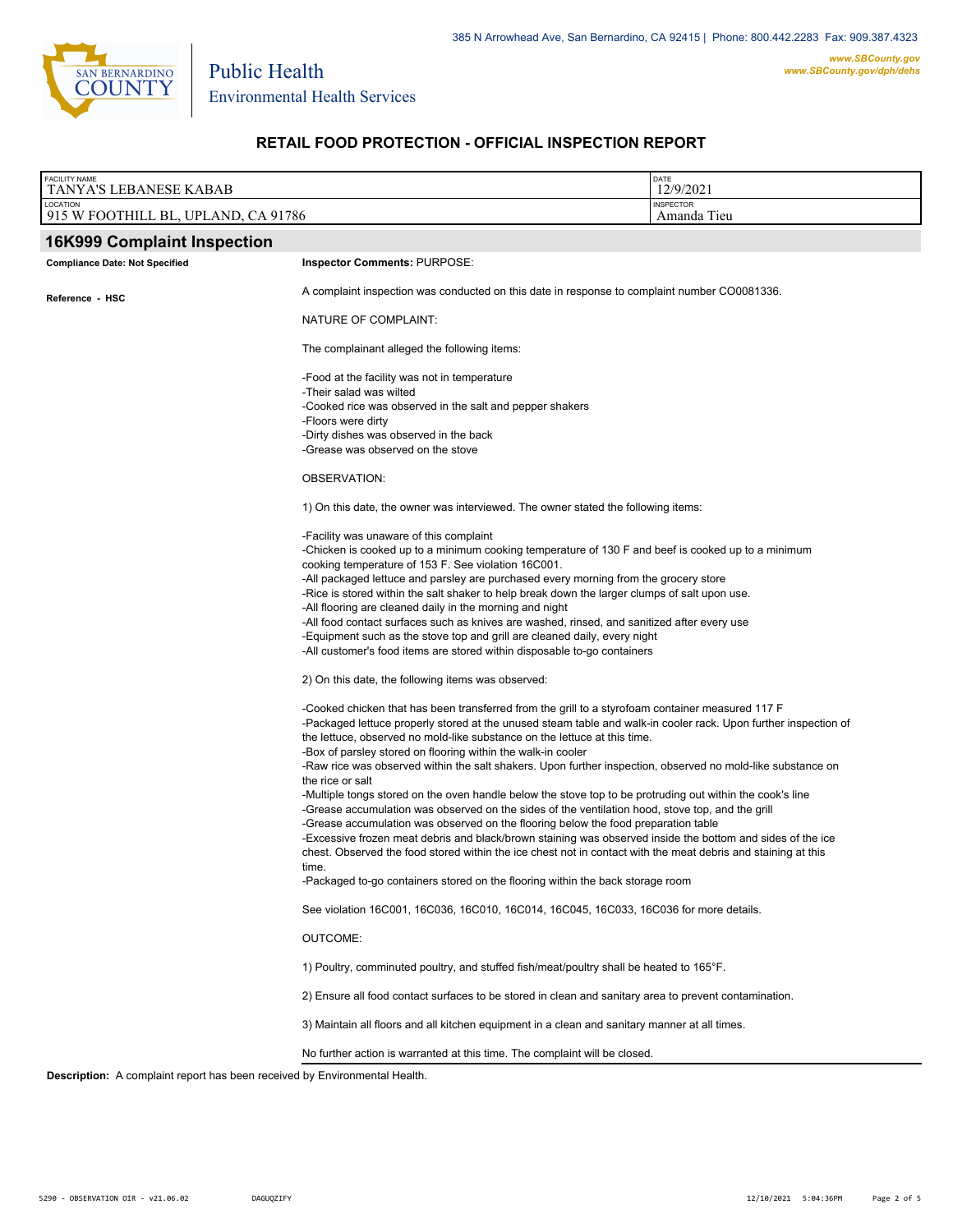

Environmental Health Services

Public Health

# **RETAIL FOOD PROTECTION - OFFICIAL INSPECTION REPORT**

| <b>FACILITY NAME</b><br>TANYA'S LEBANESE KABAB                                    |                                                                                                                                                                                                                                                                                                                                                                                                                                                                                                                                                                                                                                                                                                                                                                         | DATE<br>12/9/2021               |  |
|-----------------------------------------------------------------------------------|-------------------------------------------------------------------------------------------------------------------------------------------------------------------------------------------------------------------------------------------------------------------------------------------------------------------------------------------------------------------------------------------------------------------------------------------------------------------------------------------------------------------------------------------------------------------------------------------------------------------------------------------------------------------------------------------------------------------------------------------------------------------------|---------------------------------|--|
| LOCATION<br>915 W FOOTHILL BL, UPLAND, CA 91786                                   |                                                                                                                                                                                                                                                                                                                                                                                                                                                                                                                                                                                                                                                                                                                                                                         | <b>INSPECTOR</b><br>Amanda Tieu |  |
| <b>16K999 Complaint Inspection</b>                                                |                                                                                                                                                                                                                                                                                                                                                                                                                                                                                                                                                                                                                                                                                                                                                                         |                                 |  |
| <b>Compliance Date: Not Specified</b>                                             | <b>Inspector Comments: PURPOSE:</b>                                                                                                                                                                                                                                                                                                                                                                                                                                                                                                                                                                                                                                                                                                                                     |                                 |  |
| Reference - HSC                                                                   | A complaint inspection was conducted on this date in response to complaint number CO0081336.                                                                                                                                                                                                                                                                                                                                                                                                                                                                                                                                                                                                                                                                            |                                 |  |
|                                                                                   | NATURE OF COMPLAINT:                                                                                                                                                                                                                                                                                                                                                                                                                                                                                                                                                                                                                                                                                                                                                    |                                 |  |
|                                                                                   | The complainant alleged the following items:                                                                                                                                                                                                                                                                                                                                                                                                                                                                                                                                                                                                                                                                                                                            |                                 |  |
|                                                                                   | -Food at the facility was not in temperature<br>-Their salad was wilted<br>-Cooked rice was observed in the salt and pepper shakers<br>-Floors were dirty<br>-Dirty dishes was observed in the back                                                                                                                                                                                                                                                                                                                                                                                                                                                                                                                                                                     |                                 |  |
|                                                                                   | -Grease was observed on the stove                                                                                                                                                                                                                                                                                                                                                                                                                                                                                                                                                                                                                                                                                                                                       |                                 |  |
|                                                                                   | OBSERVATION:                                                                                                                                                                                                                                                                                                                                                                                                                                                                                                                                                                                                                                                                                                                                                            |                                 |  |
|                                                                                   | 1) On this date, the owner was interviewed. The owner stated the following items:                                                                                                                                                                                                                                                                                                                                                                                                                                                                                                                                                                                                                                                                                       |                                 |  |
|                                                                                   | -Facility was unaware of this complaint<br>-Chicken is cooked up to a minimum cooking temperature of 130 F and beef is cooked up to a minimum<br>cooking temperature of 153 F. See violation 16C001.<br>-All packaged lettuce and parsley are purchased every morning from the grocery store<br>-Rice is stored within the salt shaker to help break down the larger clumps of salt upon use.<br>-All flooring are cleaned daily in the morning and night<br>-All food contact surfaces such as knives are washed, rinsed, and sanitized after every use<br>-Equipment such as the stove top and grill are cleaned daily, every night<br>-All customer's food items are stored within disposable to-go containers<br>2) On this date, the following items was observed: |                                 |  |
|                                                                                   |                                                                                                                                                                                                                                                                                                                                                                                                                                                                                                                                                                                                                                                                                                                                                                         |                                 |  |
|                                                                                   | -Cooked chicken that has been transferred from the grill to a styrofoam container measured 117 F<br>-Packaged lettuce properly stored at the unused steam table and walk-in cooler rack. Upon further inspection of<br>the lettuce, observed no mold-like substance on the lettuce at this time.<br>-Box of parsley stored on flooring within the walk-in cooler<br>-Raw rice was observed within the salt shakers. Upon further inspection, observed no mold-like substance on<br>the rice or salt<br>-Multiple tongs stored on the oven handle below the stove top to be protruding out within the cook's line                                                                                                                                                        |                                 |  |
|                                                                                   | -Grease accumulation was observed on the sides of the ventilation hood, stove top, and the grill<br>-Grease accumulation was observed on the flooring below the food preparation table<br>-Excessive frozen meat debris and black/brown staining was observed inside the bottom and sides of the ice<br>chest. Observed the food stored within the ice chest not in contact with the meat debris and staining at this<br>time.                                                                                                                                                                                                                                                                                                                                          |                                 |  |
|                                                                                   | -Packaged to-go containers stored on the flooring within the back storage room                                                                                                                                                                                                                                                                                                                                                                                                                                                                                                                                                                                                                                                                                          |                                 |  |
|                                                                                   | See violation 16C001, 16C036, 16C010, 16C014, 16C045, 16C033, 16C036 for more details.                                                                                                                                                                                                                                                                                                                                                                                                                                                                                                                                                                                                                                                                                  |                                 |  |
|                                                                                   | OUTCOME:                                                                                                                                                                                                                                                                                                                                                                                                                                                                                                                                                                                                                                                                                                                                                                |                                 |  |
|                                                                                   | 1) Poultry, comminuted poultry, and stuffed fish/meat/poultry shall be heated to 165°F.                                                                                                                                                                                                                                                                                                                                                                                                                                                                                                                                                                                                                                                                                 |                                 |  |
|                                                                                   | 2) Ensure all food contact surfaces to be stored in clean and sanitary area to prevent contamination.                                                                                                                                                                                                                                                                                                                                                                                                                                                                                                                                                                                                                                                                   |                                 |  |
|                                                                                   | 3) Maintain all floors and all kitchen equipment in a clean and sanitary manner at all times.                                                                                                                                                                                                                                                                                                                                                                                                                                                                                                                                                                                                                                                                           |                                 |  |
|                                                                                   | No further action is warranted at this time. The complaint will be closed.                                                                                                                                                                                                                                                                                                                                                                                                                                                                                                                                                                                                                                                                                              |                                 |  |
| <b>Description:</b> A complaint report has been received by Environmental Health. |                                                                                                                                                                                                                                                                                                                                                                                                                                                                                                                                                                                                                                                                                                                                                                         |                                 |  |

*www.SBCounty.gov*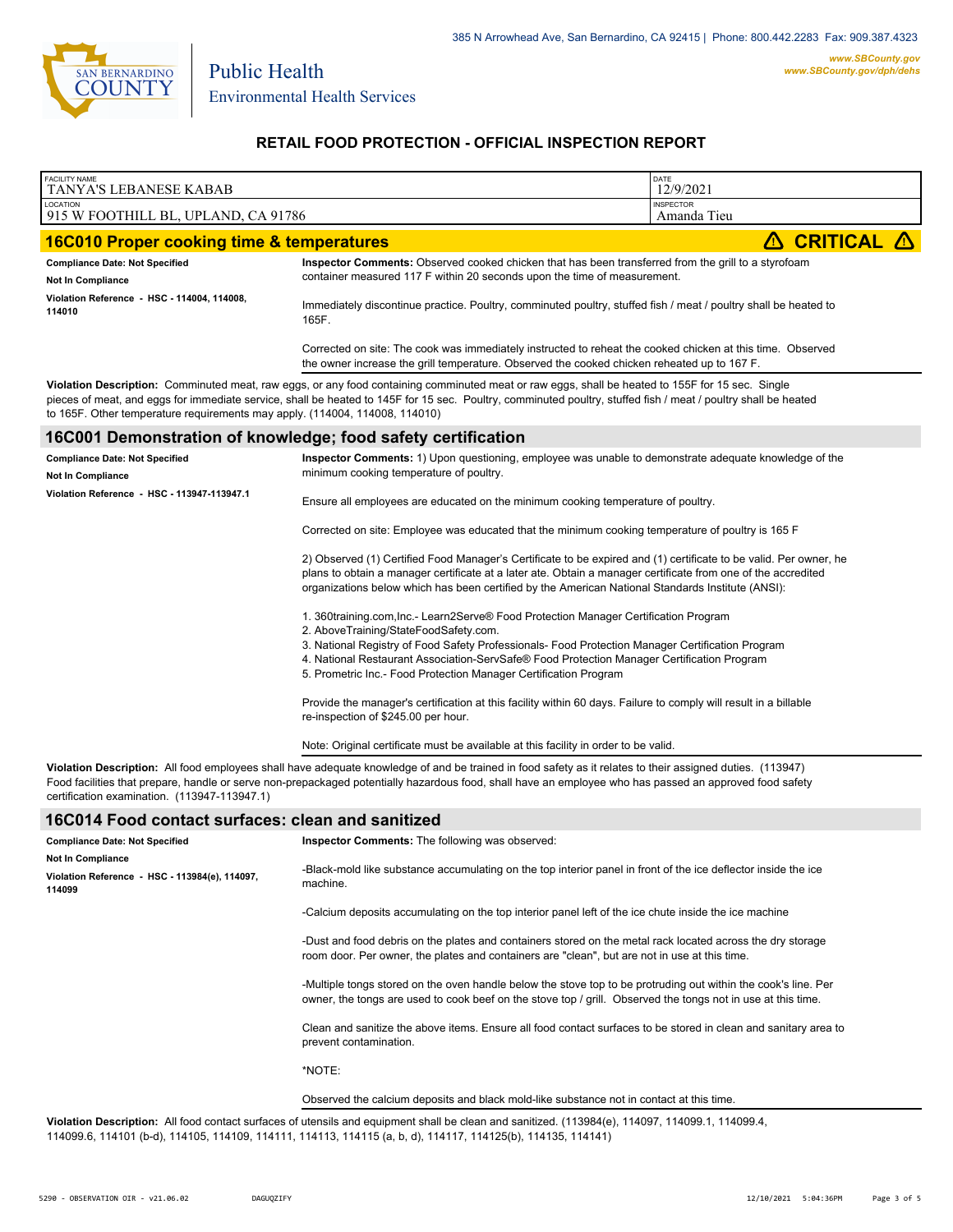

Public Health

## **RETAIL FOOD PROTECTION - OFFICIAL INSPECTION REPORT**

| <b>FACILITY NAME</b>                                                                 |                                                                                                                                                                                                                                                                                                                                                                                                     | DATE                            |  |  |
|--------------------------------------------------------------------------------------|-----------------------------------------------------------------------------------------------------------------------------------------------------------------------------------------------------------------------------------------------------------------------------------------------------------------------------------------------------------------------------------------------------|---------------------------------|--|--|
| TANYA'S LEBANESE KABAB                                                               |                                                                                                                                                                                                                                                                                                                                                                                                     | 12/9/2021                       |  |  |
| LOCATION<br>915 W FOOTHILL BL, UPLAND, CA 91786                                      |                                                                                                                                                                                                                                                                                                                                                                                                     | <b>INSPECTOR</b><br>Amanda Tieu |  |  |
| <b>16C010 Proper cooking time &amp; temperatures</b>                                 |                                                                                                                                                                                                                                                                                                                                                                                                     | <b>CRITICAL</b><br>⚠            |  |  |
| <b>Compliance Date: Not Specified</b><br><b>Not In Compliance</b>                    | Inspector Comments: Observed cooked chicken that has been transferred from the grill to a styrofoam<br>container measured 117 F within 20 seconds upon the time of measurement.                                                                                                                                                                                                                     |                                 |  |  |
| Violation Reference - HSC - 114004, 114008,<br>114010                                | Immediately discontinue practice. Poultry, comminuted poultry, stuffed fish / meat / poultry shall be heated to<br>165F.                                                                                                                                                                                                                                                                            |                                 |  |  |
|                                                                                      | Corrected on site: The cook was immediately instructed to reheat the cooked chicken at this time. Observed<br>the owner increase the grill temperature. Observed the cooked chicken reheated up to 167 F.                                                                                                                                                                                           |                                 |  |  |
| to 165F. Other temperature requirements may apply. (114004, 114008, 114010)          | Violation Description: Comminuted meat, raw eggs, or any food containing comminuted meat or raw eggs, shall be heated to 155F for 15 sec. Single<br>pieces of meat, and eggs for immediate service, shall be heated to 145F for 15 sec. Poultry, comminuted poultry, stuffed fish / meat / poultry shall be heated                                                                                  |                                 |  |  |
| 16C001 Demonstration of knowledge; food safety certification                         |                                                                                                                                                                                                                                                                                                                                                                                                     |                                 |  |  |
| <b>Compliance Date: Not Specified</b><br><b>Not In Compliance</b>                    | Inspector Comments: 1) Upon questioning, employee was unable to demonstrate adequate knowledge of the<br>minimum cooking temperature of poultry.                                                                                                                                                                                                                                                    |                                 |  |  |
| Violation Reference - HSC - 113947-113947.1                                          | Ensure all employees are educated on the minimum cooking temperature of poultry.                                                                                                                                                                                                                                                                                                                    |                                 |  |  |
|                                                                                      | Corrected on site: Employee was educated that the minimum cooking temperature of poultry is 165 F                                                                                                                                                                                                                                                                                                   |                                 |  |  |
|                                                                                      | 2) Observed (1) Certified Food Manager's Certificate to be expired and (1) certificate to be valid. Per owner, he<br>plans to obtain a manager certificate at a later ate. Obtain a manager certificate from one of the accredited<br>organizations below which has been certified by the American National Standards Institute (ANSI):                                                             |                                 |  |  |
|                                                                                      | 1. 360training.com, Inc.- Learn2Serve® Food Protection Manager Certification Program<br>2. AboveTraining/StateFoodSafety.com.<br>3. National Registry of Food Safety Professionals- Food Protection Manager Certification Program<br>4. National Restaurant Association-ServSafe® Food Protection Manager Certification Program<br>5. Prometric Inc.- Food Protection Manager Certification Program |                                 |  |  |
|                                                                                      | Provide the manager's certification at this facility within 60 days. Failure to comply will result in a billable<br>re-inspection of \$245.00 per hour.                                                                                                                                                                                                                                             |                                 |  |  |
|                                                                                      | Note: Original certificate must be available at this facility in order to be valid.                                                                                                                                                                                                                                                                                                                 |                                 |  |  |
| certification examination. (113947-113947.1)                                         | Violation Description: All food employees shall have adequate knowledge of and be trained in food safety as it relates to their assigned duties. (113947)<br>Food facilities that prepare, handle or serve non-prepackaged potentially hazardous food, shall have an employee who has passed an approved food safety                                                                                |                                 |  |  |
| 16C014 Food contact surfaces: clean and sanitized                                    |                                                                                                                                                                                                                                                                                                                                                                                                     |                                 |  |  |
| <b>Compliance Date: Not Specified</b>                                                | Inspector Comments: The following was observed:                                                                                                                                                                                                                                                                                                                                                     |                                 |  |  |
| <b>Not In Compliance</b><br>Violation Reference - HSC - 113984(e), 114097,<br>114099 | -Black-mold like substance accumulating on the top interior panel in front of the ice deflector inside the ice<br>machine.                                                                                                                                                                                                                                                                          |                                 |  |  |
|                                                                                      | -Calcium deposits accumulating on the top interior panel left of the ice chute inside the ice machine                                                                                                                                                                                                                                                                                               |                                 |  |  |
|                                                                                      | -Dust and food debris on the plates and containers stored on the metal rack located across the dry storage<br>room door. Per owner, the plates and containers are "clean", but are not in use at this time.                                                                                                                                                                                         |                                 |  |  |
|                                                                                      | -Multiple tongs stored on the oven handle below the stove top to be protruding out within the cook's line. Per<br>owner, the tongs are used to cook beef on the stove top / grill. Observed the tongs not in use at this time.                                                                                                                                                                      |                                 |  |  |
|                                                                                      | Clean and sanitize the above items. Ensure all food contact surfaces to be stored in clean and sanitary area to<br>prevent contamination.                                                                                                                                                                                                                                                           |                                 |  |  |
|                                                                                      | *NOTE:                                                                                                                                                                                                                                                                                                                                                                                              |                                 |  |  |

Observed the calcium deposits and black mold-like substance not in contact at this time.

**Violation Description:** All food contact surfaces of utensils and equipment shall be clean and sanitized. (113984(e), 114097, 114099.1, 114099.4, 114099.6, 114101 (b-d), 114105, 114109, 114111, 114113, 114115 (a, b, d), 114117, 114125(b), 114135, 114141)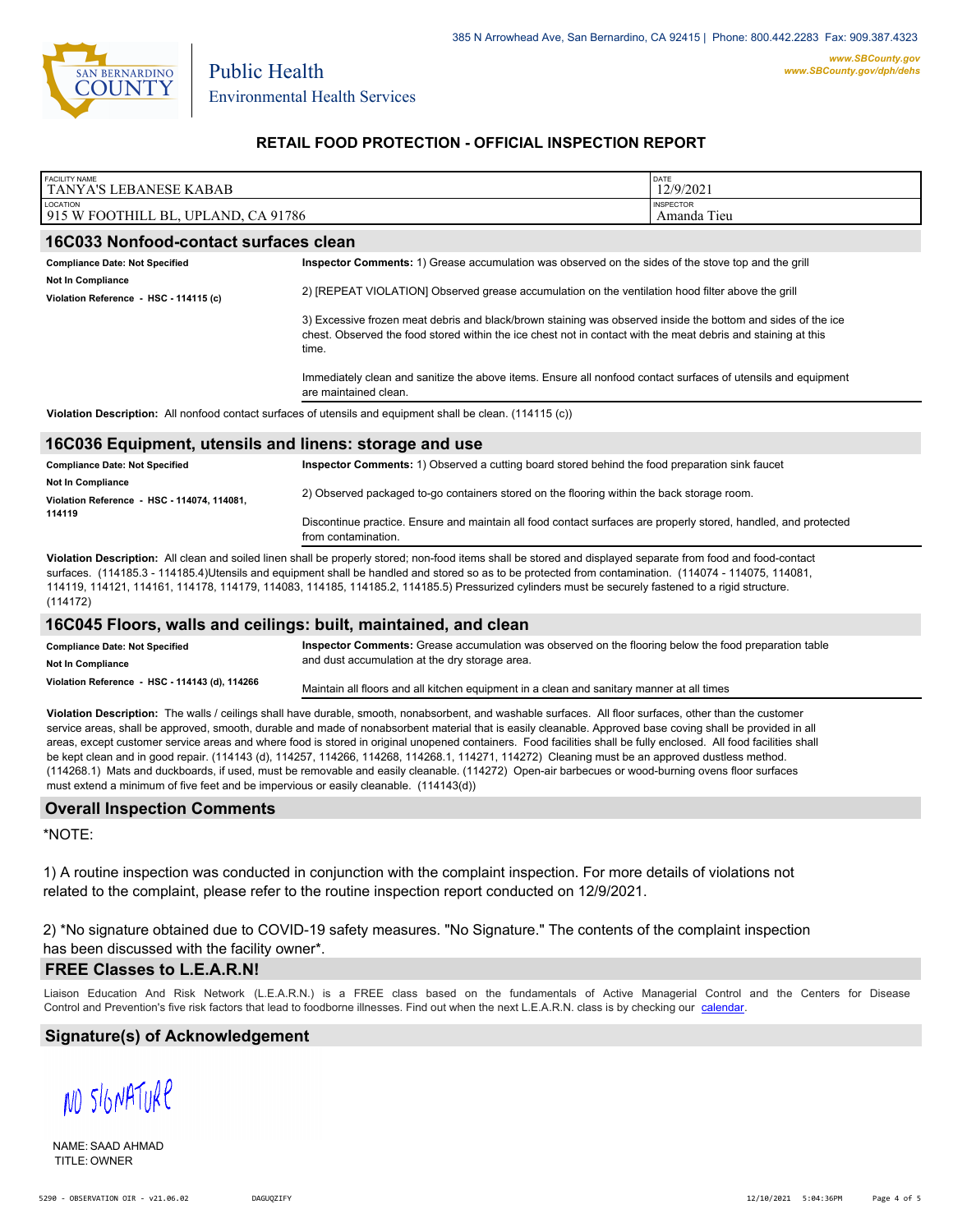

Public Health

## **RETAIL FOOD PROTECTION - OFFICIAL INSPECTION REPORT**

| <b>FACILITY NAME</b><br>TANYA'S LEBANESE KABAB                                                             |                                                                                                                                                                                                                                                                                                                                             | <b>DATE</b><br>12/9/2021        |  |
|------------------------------------------------------------------------------------------------------------|---------------------------------------------------------------------------------------------------------------------------------------------------------------------------------------------------------------------------------------------------------------------------------------------------------------------------------------------|---------------------------------|--|
| LOCATION<br>915 W FOOTHILL BL, UPLAND, CA 91786                                                            |                                                                                                                                                                                                                                                                                                                                             | <b>INSPECTOR</b><br>Amanda Tieu |  |
| 16C033 Nonfood-contact surfaces clean                                                                      |                                                                                                                                                                                                                                                                                                                                             |                                 |  |
| <b>Compliance Date: Not Specified</b>                                                                      | Inspector Comments: 1) Grease accumulation was observed on the sides of the stove top and the grill                                                                                                                                                                                                                                         |                                 |  |
| Not In Compliance<br>Violation Reference - HSC - 114115 (c)                                                | 2) [REPEAT VIOLATION] Observed grease accumulation on the ventilation hood filter above the grill<br>3) Excessive frozen meat debris and black/brown staining was observed inside the bottom and sides of the ice<br>chest. Observed the food stored within the ice chest not in contact with the meat debris and staining at this<br>time. |                                 |  |
|                                                                                                            |                                                                                                                                                                                                                                                                                                                                             |                                 |  |
|                                                                                                            | Immediately clean and sanitize the above items. Ensure all nonfood contact surfaces of utensils and equipment<br>are maintained clean.                                                                                                                                                                                                      |                                 |  |
| Violation Description: All nonfood contact surfaces of utensils and equipment shall be clean. (114115 (c)) |                                                                                                                                                                                                                                                                                                                                             |                                 |  |
| 16C036 Equipment, utensils and linens: storage and use                                                     |                                                                                                                                                                                                                                                                                                                                             |                                 |  |
| <b>Compliance Date: Not Specified</b>                                                                      | Inspector Comments: 1) Observed a cutting board stored behind the food preparation sink faucet                                                                                                                                                                                                                                              |                                 |  |
| Not In Compliance<br>Violation Reference - HSC - 114074, 114081,                                           | 2) Observed packaged to-go containers stored on the flooring within the back storage room.                                                                                                                                                                                                                                                  |                                 |  |

from contamination. **Violation Description:** All clean and soiled linen shall be properly stored; non-food items shall be stored and displayed separate from food and food-contact surfaces. (114185.3 - 114185.4)Utensils and equipment shall be handled and stored so as to be protected from contamination. (114074 - 114075, 114081, 114119, 114121, 114161, 114178, 114179, 114083, 114185, 114185.2, 114185.5) Pressurized cylinders must be securely fastened to a rigid structure. (114172)

Discontinue practice. Ensure and maintain all food contact surfaces are properly stored, handled, and protected

### **16C045 Floors, walls and ceilings: built, maintained, and clean**

| <b>Compliance Date: Not Specified</b>          | Inspector Comments: Grease accumulation was observed on the flooring below the food preparation table |
|------------------------------------------------|-------------------------------------------------------------------------------------------------------|
| <b>Not In Compliance</b>                       | and dust accumulation at the dry storage area.                                                        |
| Violation Reference - HSC - 114143 (d), 114266 | Maintain all floors and all kitchen equipment in a clean and sanitary manner at all times             |

**Violation Description:** The walls / ceilings shall have durable, smooth, nonabsorbent, and washable surfaces. All floor surfaces, other than the customer service areas, shall be approved, smooth, durable and made of nonabsorbent material that is easily cleanable. Approved base coving shall be provided in all areas, except customer service areas and where food is stored in original unopened containers. Food facilities shall be fully enclosed. All food facilities shall be kept clean and in good repair. (114143 (d), 114257, 114266, 114268, 114268.1, 114271, 114272) Cleaning must be an approved dustless method. (114268.1) Mats and duckboards, if used, must be removable and easily cleanable. (114272) Open-air barbecues or wood-burning ovens floor surfaces must extend a minimum of five feet and be impervious or easily cleanable. (114143(d))

#### **Overall Inspection Comments**

\*NOTE:

**114119**

1) A routine inspection was conducted in conjunction with the complaint inspection. For more details of violations not related to the complaint, please refer to the routine inspection report conducted on 12/9/2021.

2) \*No signature obtained due to COVID-19 safety measures. "No Signature." The contents of the complaint inspection has been discussed with the facility owner\*.

#### **FREE Classes to L.E.A.R.N!**

Liaison Education And Risk Network (L.E.A.R.N.) is a FREE class based on the fundamentals of Active Managerial Control and [the Centers](http://wp.sbcounty.gov/dph/events/) for Disease Control and Prevention's five risk factors that lead to foodborne illnesses. Find out when the next L.E.A.R.N. class is by checking our calendar.

### **Signature(s) of Acknowledgement**

NO SIGNATURE

NAME: SAAD AHMAD TITLE: OWNER